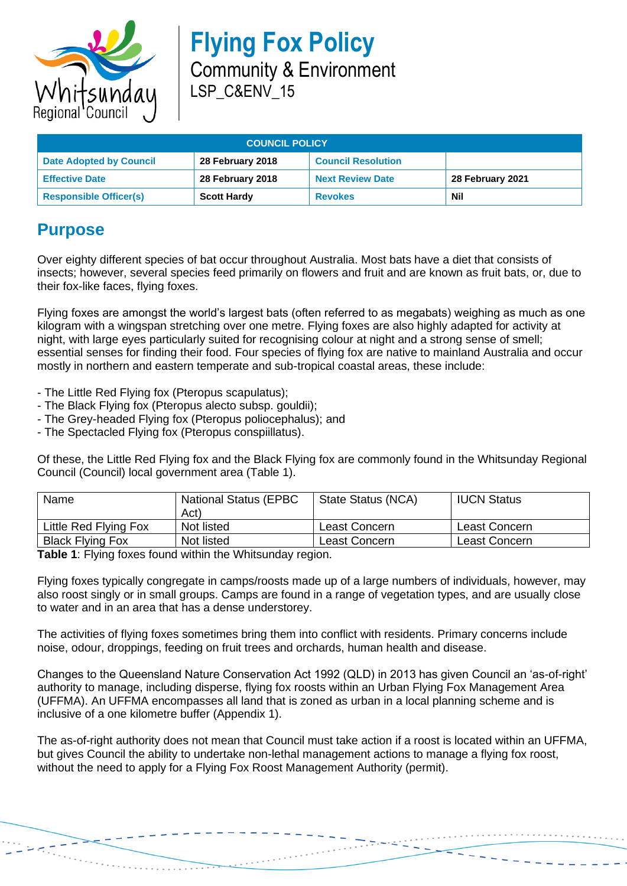

| <b>COUNCIL POLICY</b>          |                    |                           |                  |  |  |
|--------------------------------|--------------------|---------------------------|------------------|--|--|
| <b>Date Adopted by Council</b> | 28 February 2018   | <b>Council Resolution</b> |                  |  |  |
| <b>Effective Date</b>          | 28 February 2018   | <b>Next Review Date</b>   | 28 February 2021 |  |  |
| <b>Responsible Officer(s)</b>  | <b>Scott Hardy</b> | <b>Revokes</b>            | Nil              |  |  |

## **Purpose**

Over eighty different species of bat occur throughout Australia. Most bats have a diet that consists of insects; however, several species feed primarily on flowers and fruit and are known as fruit bats, or, due to their fox-like faces, flying foxes.

Flying foxes are amongst the world's largest bats (often referred to as megabats) weighing as much as one kilogram with a wingspan stretching over one metre. Flying foxes are also highly adapted for activity at night, with large eyes particularly suited for recognising colour at night and a strong sense of smell; essential senses for finding their food. Four species of flying fox are native to mainland Australia and occur mostly in northern and eastern temperate and sub-tropical coastal areas, these include:

- The Little Red Flying fox (Pteropus scapulatus);
- The Black Flying fox (Pteropus alecto subsp. gouldii);
- The Grey-headed Flying fox (Pteropus poliocephalus); and
- The Spectacled Flying fox (Pteropus conspiillatus).

Of these, the Little Red Flying fox and the Black Flying fox are commonly found in the Whitsunday Regional Council (Council) local government area (Table 1).

| Name                    | <b>National Status (EPBC)</b><br>Act) | State Status (NCA) | <b>IUCN Status</b> |
|-------------------------|---------------------------------------|--------------------|--------------------|
| Little Red Flying Fox   | Not listed                            | Least Concern      | Least Concern      |
| <b>Black Flying Fox</b> | Not listed                            | Least Concern      | Least Concern      |

**Table 1**: Flying foxes found within the Whitsunday region.

Flying foxes typically congregate in camps/roosts made up of a large numbers of individuals, however, may also roost singly or in small groups. Camps are found in a range of vegetation types, and are usually close to water and in an area that has a dense understorey.

The activities of flying foxes sometimes bring them into conflict with residents. Primary concerns include noise, odour, droppings, feeding on fruit trees and orchards, human health and disease.

Changes to the Queensland Nature Conservation Act 1992 (QLD) in 2013 has given Council an 'as-of-right' authority to manage, including disperse, flying fox roosts within an Urban Flying Fox Management Area (UFFMA). An UFFMA encompasses all land that is zoned as urban in a local planning scheme and is inclusive of a one kilometre buffer (Appendix 1).

The as-of-right authority does not mean that Council must take action if a roost is located within an UFFMA, but gives Council the ability to undertake non-lethal management actions to manage a flying fox roost, without the need to apply for a Flying Fox Roost Management Authority (permit).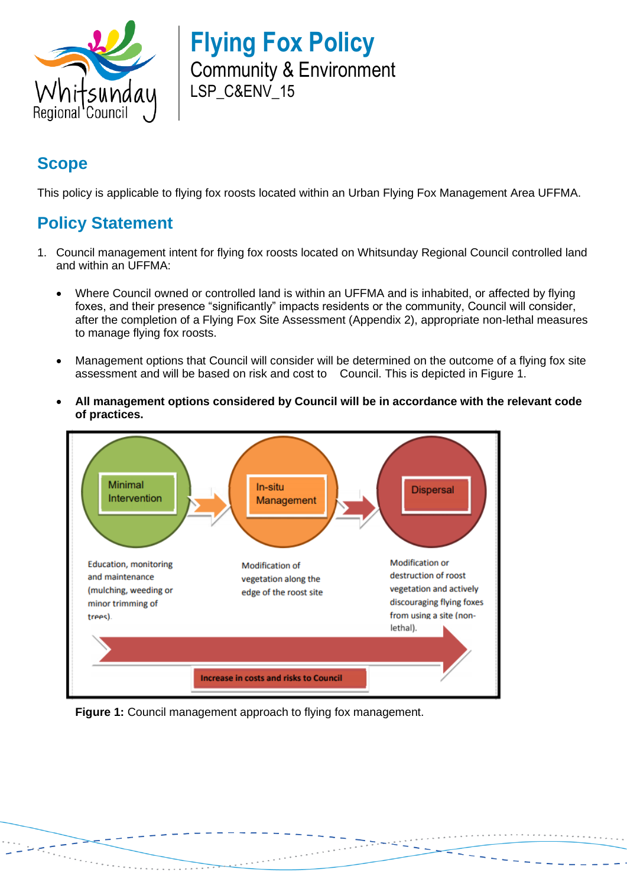

## **Scope**

This policy is applicable to flying fox roosts located within an Urban Flying Fox Management Area UFFMA.

## **Policy Statement**

- 1. Council management intent for flying fox roosts located on Whitsunday Regional Council controlled land and within an UFFMA:
	- Where Council owned or controlled land is within an UFFMA and is inhabited, or affected by flying foxes, and their presence "significantly" impacts residents or the community, Council will consider, after the completion of a Flying Fox Site Assessment (Appendix 2), appropriate non-lethal measures to manage flying fox roosts.
	- Management options that Council will consider will be determined on the outcome of a flying fox site assessment and will be based on risk and cost to Council. This is depicted in Figure 1.
	- **All management options considered by Council will be in accordance with the relevant code of practices.**



**Figure 1:** Council management approach to flying fox management.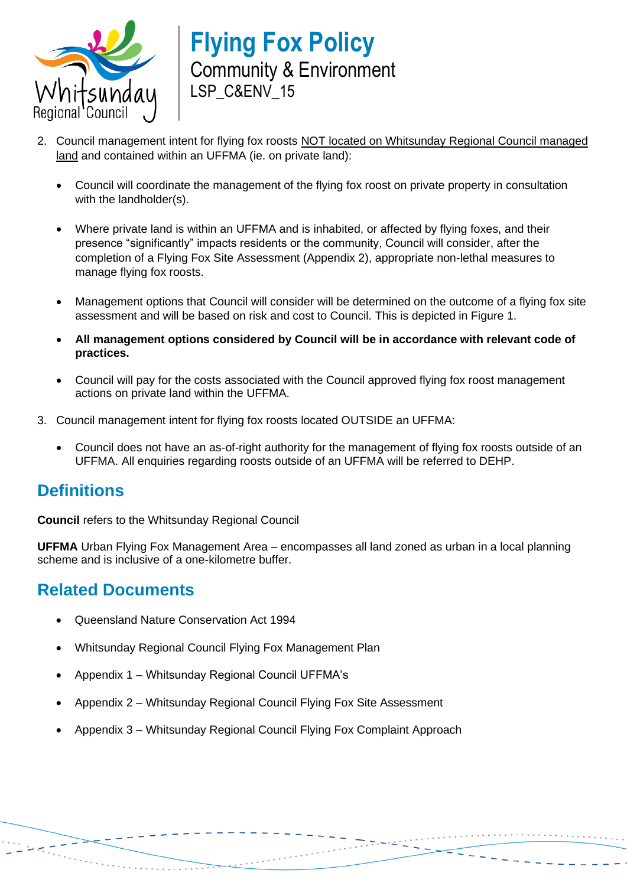

- 2. Council management intent for flying fox roosts NOT located on Whitsunday Regional Council managed land and contained within an UFFMA (ie. on private land):
	- Council will coordinate the management of the flying fox roost on private property in consultation with the landholder(s).
	- Where private land is within an UFFMA and is inhabited, or affected by flying foxes, and their presence "significantly" impacts residents or the community, Council will consider, after the completion of a Flying Fox Site Assessment (Appendix 2), appropriate non-lethal measures to manage flying fox roosts.
	- Management options that Council will consider will be determined on the outcome of a flying fox site assessment and will be based on risk and cost to Council. This is depicted in Figure 1.
	- **All management options considered by Council will be in accordance with relevant code of practices.**
	- Council will pay for the costs associated with the Council approved flying fox roost management actions on private land within the UFFMA.
- 3. Council management intent for flying fox roosts located OUTSIDE an UFFMA:
	- Council does not have an as-of-right authority for the management of flying fox roosts outside of an UFFMA. All enquiries regarding roosts outside of an UFFMA will be referred to DEHP.

## **Definitions**

**Council** refers to the Whitsunday Regional Council

**UFFMA** Urban Flying Fox Management Area – encompasses all land zoned as urban in a local planning scheme and is inclusive of a one-kilometre buffer.

## **Related Documents**

- Queensland Nature Conservation Act 1994
- Whitsunday Regional Council Flying Fox Management Plan
- Appendix 1 Whitsunday Regional Council UFFMA's
- Appendix 2 Whitsunday Regional Council Flying Fox Site Assessment
- Appendix 3 Whitsunday Regional Council Flying Fox Complaint Approach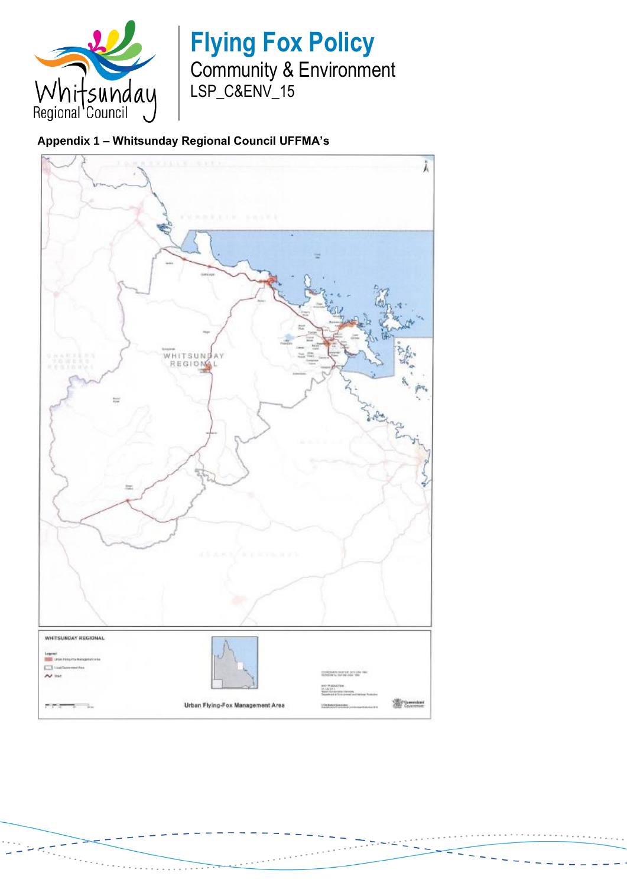

#### **Appendix 1 – Whitsunday Regional Council UFFMA's**

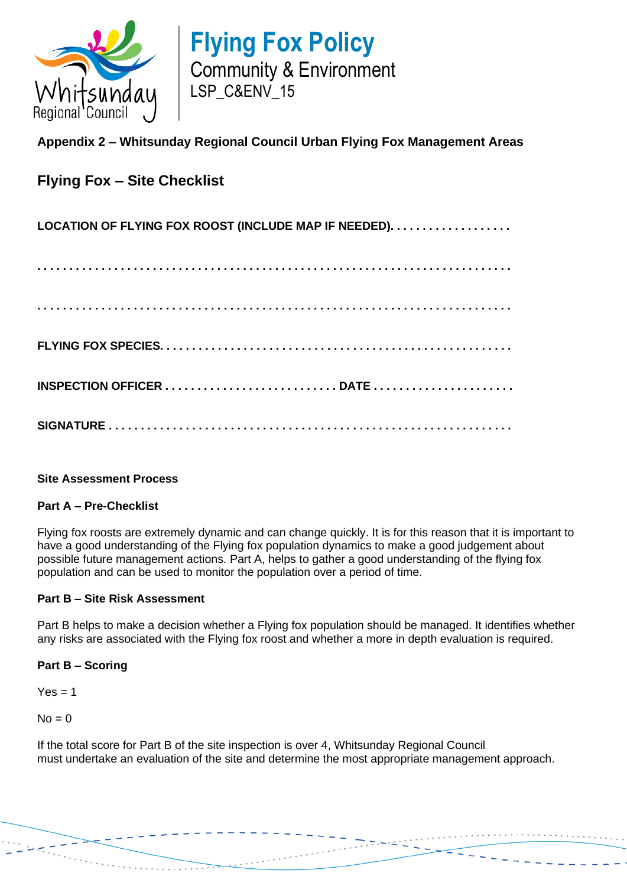

#### **Appendix 2 – Whitsunday Regional Council Urban Flying Fox Management Areas**

### **Flying Fox – Site Checklist**

#### **LOCATION OF FLYING FOX ROOST (INCLUDE MAP IF NEEDED). . . . . . . . . . . . . . . . . . .**

**. . . . . . . . . . . . . . . . . . . . . . . . . . . . . . . . . . . . . . . . . . . . . . . . . . . . . . . . . . . . . . . . . . . . . . . . . . . . . . . . . . . . . . . . . . . . . . . . . . . . . . . . . . . . . . . . . . . . . . . . . . . . . . . . . . . . . . . . . . . . . . . . . . . . FLYING FOX SPECIES. . . . . . . . . . . . . . . . . . . . . . . . . . . . . . . . . . . . . . . . . . . . . . . . . . . . . . . INSPECTION OFFICER . . . . . . . . . . . . . . . . . . . . . . . . . . . DATE . . . . . . . . . . . . . . . . . . . . . . SIGNATURE . . . . . . . . . . . . . . . . . . . . . . . . . . . . . . . . . . . . . . . . . . . . . . . . . . . . . . . . . . . . . . .**

#### **Site Assessment Process**

#### **Part A – Pre-Checklist**

Flying fox roosts are extremely dynamic and can change quickly. It is for this reason that it is important to have a good understanding of the Flying fox population dynamics to make a good judgement about possible future management actions. Part A, helps to gather a good understanding of the flying fox population and can be used to monitor the population over a period of time.

#### **Part B – Site Risk Assessment**

Part B helps to make a decision whether a Flying fox population should be managed. It identifies whether any risks are associated with the Flying fox roost and whether a more in depth evaluation is required.

#### **Part B – Scoring**

 $Yes = 1$ 

 $No = 0$ 

If the total score for Part B of the site inspection is over 4, Whitsunday Regional Council must undertake an evaluation of the site and determine the most appropriate management approach.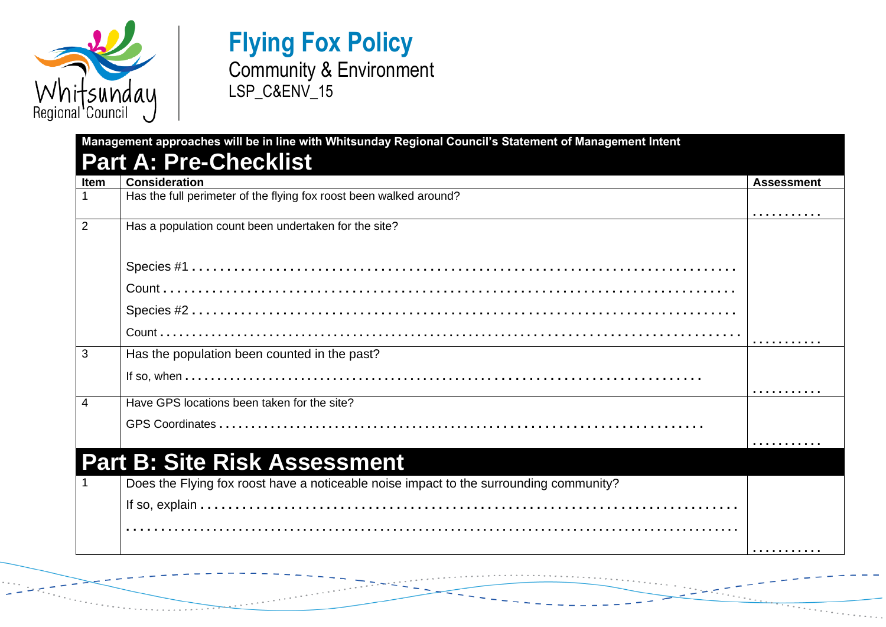

# **Flying Fox Policy**

## Community & Environment LSP\_C&ENV\_15

|                | <b>Consideration</b>                                                                   | <b>Assessment</b> |
|----------------|----------------------------------------------------------------------------------------|-------------------|
|                | Has the full perimeter of the flying fox roost been walked around?                     |                   |
|                |                                                                                        |                   |
| $\overline{2}$ | Has a population count been undertaken for the site?                                   |                   |
|                |                                                                                        |                   |
|                |                                                                                        |                   |
|                |                                                                                        |                   |
|                |                                                                                        |                   |
|                |                                                                                        |                   |
| 3              |                                                                                        |                   |
|                | Has the population been counted in the past?                                           |                   |
|                |                                                                                        |                   |
| 4              | Have GPS locations been taken for the site?                                            |                   |
|                |                                                                                        |                   |
|                |                                                                                        |                   |
|                | <b>Part B: Site Risk Assessment</b>                                                    |                   |
|                |                                                                                        |                   |
|                | Does the Flying fox roost have a noticeable noise impact to the surrounding community? |                   |
|                |                                                                                        |                   |
|                |                                                                                        |                   |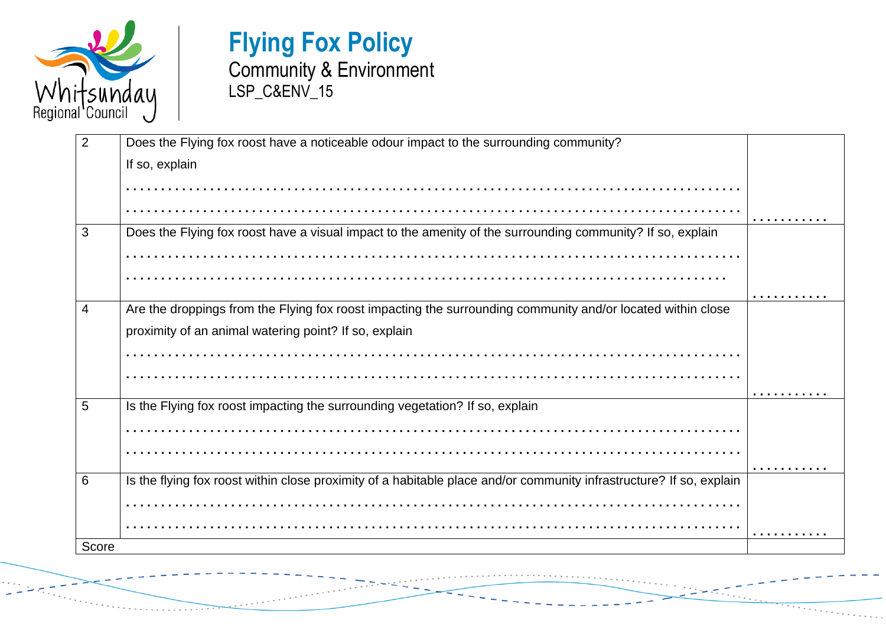

| 2     | Does the Flying fox roost have a noticeable odour impact to the surrounding community?                              |  |
|-------|---------------------------------------------------------------------------------------------------------------------|--|
|       | If so, explain                                                                                                      |  |
|       |                                                                                                                     |  |
|       |                                                                                                                     |  |
| 3     | Does the Flying fox roost have a visual impact to the amenity of the surrounding community? If so, explain          |  |
|       |                                                                                                                     |  |
|       |                                                                                                                     |  |
|       |                                                                                                                     |  |
| 4     | Are the droppings from the Flying fox roost impacting the surrounding community and/or located within close         |  |
|       | proximity of an animal watering point? If so, explain                                                               |  |
|       |                                                                                                                     |  |
|       |                                                                                                                     |  |
| 5     | Is the Flying fox roost impacting the surrounding vegetation? If so, explain                                        |  |
|       |                                                                                                                     |  |
|       |                                                                                                                     |  |
|       |                                                                                                                     |  |
| 6     | Is the flying fox roost within close proximity of a habitable place and/or community infrastructure? If so, explain |  |
|       |                                                                                                                     |  |
|       |                                                                                                                     |  |
| Score |                                                                                                                     |  |